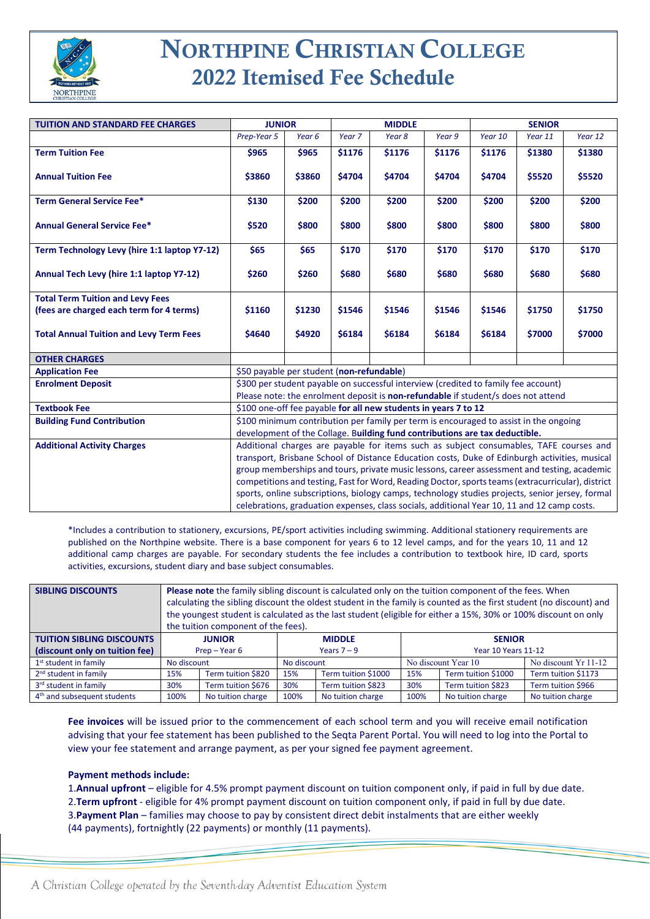

# NORTHPINE CHRISTIAN COLLEGE 2022 Itemised Fee Schedule

| <b>TUITION AND STANDARD FEE CHARGES</b>        | <b>JUNIOR</b>                                                                                     |        | <b>MIDDLE</b>     |        |        | <b>SENIOR</b> |         |         |  |
|------------------------------------------------|---------------------------------------------------------------------------------------------------|--------|-------------------|--------|--------|---------------|---------|---------|--|
|                                                | Prep-Year 5                                                                                       | Year 6 | Year <sub>7</sub> | Year 8 | Year 9 | Year 10       | Year 11 | Year 12 |  |
| <b>Term Tuition Fee</b>                        | \$965                                                                                             | \$965  | \$1176            | \$1176 | \$1176 | \$1176        | \$1380  | \$1380  |  |
|                                                |                                                                                                   |        |                   |        |        |               |         |         |  |
| <b>Annual Tuition Fee</b>                      | \$3860                                                                                            | \$3860 | \$4704            | \$4704 | \$4704 | \$4704        | \$5520  | \$5520  |  |
| <b>Term General Service Fee*</b>               | \$130                                                                                             | \$200  | \$200             | \$200  | \$200  | \$200         | \$200   | \$200   |  |
|                                                |                                                                                                   |        |                   |        |        |               |         |         |  |
| <b>Annual General Service Fee*</b>             | \$520                                                                                             | \$800  | \$800             | \$800  | \$800  | \$800         | \$800   | \$800   |  |
|                                                |                                                                                                   |        |                   |        |        |               |         |         |  |
| Term Technology Levy (hire 1:1 laptop Y7-12)   | \$65                                                                                              | \$65   | \$170             | \$170  | \$170  | \$170         | \$170   | \$170   |  |
| Annual Tech Levy (hire 1:1 laptop Y7-12)       | \$260                                                                                             | \$260  | \$680             | \$680  | \$680  | \$680         | \$680   | \$680   |  |
|                                                |                                                                                                   |        |                   |        |        |               |         |         |  |
| <b>Total Term Tuition and Levy Fees</b>        |                                                                                                   |        |                   |        |        |               |         |         |  |
| (fees are charged each term for 4 terms)       | \$1160                                                                                            | \$1230 | \$1546            | \$1546 | \$1546 | \$1546        | \$1750  | \$1750  |  |
| <b>Total Annual Tuition and Levy Term Fees</b> | \$4640                                                                                            | \$4920 | \$6184            | \$6184 | \$6184 | \$6184        | \$7000  | \$7000  |  |
|                                                |                                                                                                   |        |                   |        |        |               |         |         |  |
| <b>OTHER CHARGES</b>                           |                                                                                                   |        |                   |        |        |               |         |         |  |
| <b>Application Fee</b>                         | \$50 payable per student (non-refundable)                                                         |        |                   |        |        |               |         |         |  |
| <b>Enrolment Deposit</b>                       | \$300 per student payable on successful interview (credited to family fee account)                |        |                   |        |        |               |         |         |  |
|                                                | Please note: the enrolment deposit is non-refundable if student/s does not attend                 |        |                   |        |        |               |         |         |  |
| <b>Textbook Fee</b>                            | \$100 one-off fee payable for all new students in years 7 to 12                                   |        |                   |        |        |               |         |         |  |
| <b>Building Fund Contribution</b>              | \$100 minimum contribution per family per term is encouraged to assist in the ongoing             |        |                   |        |        |               |         |         |  |
|                                                | development of the Collage. Building fund contributions are tax deductible.                       |        |                   |        |        |               |         |         |  |
| <b>Additional Activity Charges</b>             | Additional charges are payable for items such as subject consumables, TAFE courses and            |        |                   |        |        |               |         |         |  |
|                                                | transport, Brisbane School of Distance Education costs, Duke of Edinburgh activities, musical     |        |                   |        |        |               |         |         |  |
|                                                | group memberships and tours, private music lessons, career assessment and testing, academic       |        |                   |        |        |               |         |         |  |
|                                                | competitions and testing, Fast for Word, Reading Doctor, sports teams (extracurricular), district |        |                   |        |        |               |         |         |  |
|                                                | sports, online subscriptions, biology camps, technology studies projects, senior jersey, formal   |        |                   |        |        |               |         |         |  |
|                                                | celebrations, graduation expenses, class socials, additional Year 10, 11 and 12 camp costs.       |        |                   |        |        |               |         |         |  |

\*Includes a contribution to stationery, excursions, PE/sport activities including swimming. Additional stationery requirements are published on the Northpine website. There is a base component for years 6 to 12 level camps, and for the years 10, 11 and 12 additional camp charges are payable. For secondary students the fee includes a contribution to textbook hire, ID card, sports activities, excursions, student diary and base subject consumables.

| <b>SIBLING DISCOUNTS</b>                | <b>Please note</b> the family sibling discount is calculated only on the tuition component of the fees. When<br>calculating the sibling discount the oldest student in the family is counted as the first student (no discount) and<br>the youngest student is calculated as the last student (eligible for either a 15%, 30% or 100% discount on only<br>the tuition component of the fees). |                    |               |                     |                            |                     |                      |  |  |
|-----------------------------------------|-----------------------------------------------------------------------------------------------------------------------------------------------------------------------------------------------------------------------------------------------------------------------------------------------------------------------------------------------------------------------------------------------|--------------------|---------------|---------------------|----------------------------|---------------------|----------------------|--|--|
| <b>TUITION SIBLING DISCOUNTS</b>        |                                                                                                                                                                                                                                                                                                                                                                                               | <b>JUNIOR</b>      |               | <b>MIDDLE</b>       | <b>SENIOR</b>              |                     |                      |  |  |
| (discount only on tuition fee)          | $Prep - Year 6$                                                                                                                                                                                                                                                                                                                                                                               |                    | Years $7 - 9$ |                     | <b>Year 10 Years 11-12</b> |                     |                      |  |  |
| 1 <sup>st</sup> student in family       | No discount                                                                                                                                                                                                                                                                                                                                                                                   |                    | No discount   |                     |                            | No discount Year 10 | No discount Yr 11-12 |  |  |
| 2 <sup>nd</sup> student in family       | 15%                                                                                                                                                                                                                                                                                                                                                                                           | Term tuition \$820 | 15%           | Term tuition \$1000 | 15%                        | Term tuition \$1000 | Term tuition \$1173  |  |  |
| 3rd student in family                   | 30%                                                                                                                                                                                                                                                                                                                                                                                           | Term tuition \$676 | 30%           | Term tuition \$823  | 30%                        | Term tuition \$823  | Term tuition \$966   |  |  |
| 4 <sup>th</sup> and subsequent students | 100%                                                                                                                                                                                                                                                                                                                                                                                          | No tuition charge  | 100%          | No tuition charge   | 100%                       | No tuition charge   | No tuition charge    |  |  |

**Fee invoices** will be issued prior to the commencement of each school term and you will receive email notification advising that your fee statement has been published to the Seqta Parent Portal. You will need to log into the Portal to view your fee statement and arrange payment, as per your signed fee payment agreement.

## **Payment methods include:**

1.**Annual upfront** – eligible for 4.5% prompt payment discount on tuition component only, if paid in full by due date. 2.**Term upfront** - eligible for 4% prompt payment discount on tuition component only, if paid in full by due date. 3.**Payment Plan** – families may choose to pay by consistent direct debit instalments that are either weekly (44 payments), fortnightly (22 payments) or monthly (11 payments).